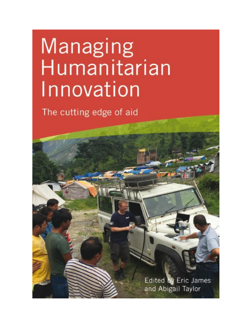# Managing Humanitarian Innovation

The cutting edge of aid

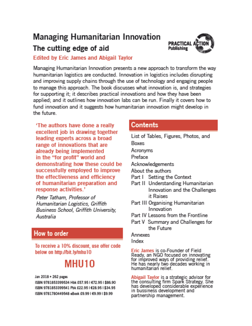# **Managing Humanitarian Innovation**



# The cutting edge of aid

### **Edited by Eric James and Abigail Taylor**

Managing Humanitarian Innovation presents a new approach to transform the wav humanitarian logistics are conducted. Innovation in logistics includes disrupting and improving supply chains through the use of technology and engaging people to manage this approach. The book discusses what innovation is, and strategies for supporting it; it describes practical innovations and how they have been applied; and it outlines how innovation labs can be run. Finally it covers how to fund innovation and it suggests how humanitarian innovation might develop in the future

'The authors have done a really excellent job in drawing together leading experts across a broad range of innovations that are already being implemented in the "for profit" world and demonstrating how these could be successfully employed to improve the effectiveness and efficiency of humanitarian preparation and response activities.'

Peter Tatham, Professor of Humanitarian Logistics, Griffith **Business School, Griffith University,** Australia

# How to order

To receive a 10% discount, use offer code below on http://bit.lw/mhu10

# MHII10

Jan 2018 · 262 pages

ISBN 9781853399534 Hbk £57.95 | €72.95 | \$86.90 ISBN 9781853399541 Pbk £22.95 | €28.95 | \$34.95 ISBN 9781780449548 eBook £9.99 | €9.99 | \$9.99

# Contents

- List of Tables, Figures, Photos, and **Boxes**
- Acronyms
- Preface
- Acknowledgements
- About the authors
- Part I Setting the Context
- Part II Understanding Humanitarian Innovation and the Challenges it Raises
- Part III Organising Humanitarian Innovation
- Part IV Lessons from the Frontline
- Part V Summary and Challenges for the Future.

#### **Annexes**

Index

Eric James is co-Founder of Field Ready, an NGO focused on innovating for improved ways of providing relief.<br>He has nearly two decades working in humanitarian relief.

Abigail Taylor is a strategic advisor for the consulting firm Spark Strategy. She<br>has developed considerable experience in bussiness development and partnership management.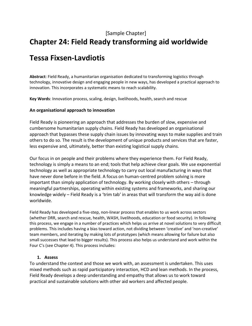# **Chapter 24: Field Ready transforming aid worldwide**

# **Tessa Fixsen-Lavdiotis**

**Abstract**: Field Ready, a humanitarian organisation dedicated to transforming logistics through technology, innovative design and engaging people in new ways, has developed a practical approach to innovation. This incorporates a systematic means to reach scalability.

**Key Words**: Innovation process, scaling, design, livelihoods, health, search and rescue

#### **An organisational approach to innovation**

Field Ready is pioneering an approach that addresses the burden of slow, expensive and cumbersome humanitarian supply chains. Field Ready has developed an organisational approach that bypasses these supply chain issues by innovating ways to make supplies and train others to do so. The result is the development of unique products and services that are faster, less expensive and, ultimately, better than existing logistical supply chains.

Our focus in on people and their problems where they experience them. For Field Ready, technology is simply a means to an end; tools that help achieve clear goals. We use exponential technology as well as appropriate technology to carry out local manufacturing in ways that have never done before in the field. A focus on human-centred problem solving is more important than simply application of technology. By working closely with others – through meaningful partnerships, operating within existing systems and frameworks, and sharing our knowledge widely – Field Ready is a 'trim tab' in areas that will transform the way aid is done worldwide.

Field Ready has developed a five-step, non-linear process that enables to us work across sectors (whether DRR, search and rescue, health, WASH, livelihoods, education or food security). In following this process, we engage in a number of practices which helps us arrive at novel solutions to very difficult problems. This includes having a bias toward action, not dividing between 'creative' and 'non-creative' team members, and iterating by making lots of prototypes (which means allowing for failure but also small successes that lead to bigger results). This process also helps us understand and work within the Four C's (see Chapter 4). This process includes:

#### **1. Assess**

To understand the context and those we work with, an assessment is undertaken. This uses mixed methods such as rapid participatory interaction, HCD and lean methods. In the process, Field Ready develops a deep understanding and empathy that allows us to work toward practical and sustainable solutions with other aid workers and affected people.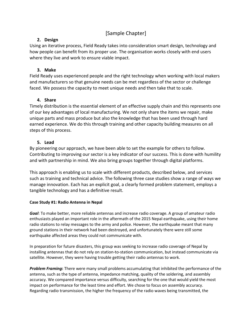#### **2. Design**

Using an iterative process, Field Ready takes into consideration smart design, technology and how people can benefit from its proper use. The organisation works closely with end users where they live and work to ensure viable impact.

#### **3. Make**

Field Ready uses experienced people and the right technology when working with local makers and manufacturers so that genuine needs can be met regardless of the sector or challenge faced. We possess the capacity to meet unique needs and then take that to scale.

#### **4. Share**

Timely distribution is the essential element of an effective supply chain and this represents one of our key advantages of local manufacturing. We not only share the items we repair, make unique parts and mass produce but also the knowledge that has been used through hard earned experience. We do this through training and other capacity building measures on all steps of this process.

#### **5. Lead**

By pioneering our approach, we have been able to set the example for others to follow. Contributing to improving our sector is a key indicator of our success. This is done with humility and with partnership in mind. We also bring groups together through digital platforms.

This approach is enabling us to scale with different products, described below, and services such as training and technical advice. The following three case studies show a range of ways we manage innovation. Each has an explicit goal, a clearly formed problem statement, employs a tangible technology and has a definitive result.

#### **Case Study #1: Radio Antenna in Nepal**

*Goal*: To make better, more reliable antennas and increase radio coverage. A group of amateur radio enthusiasts played an important role in the aftermath of the 2015 Nepal earthquake, using their home radio stations to relay messages to the army and police. However, the earthquake meant that many ground stations in their network had been destroyed, and unfortunately there were still some earthquake affected areas they could not communicate with.

In preparation for future disasters, this group was seeking to increase radio coverage of Nepal by installing antennas that do not rely on station-to-station communication, but instead communicate via satellite. However, they were having trouble getting their radio antennas to work.

*Problem Framing***:** There were many small problems accumulating that inhibited the performance of the antenna, such as the type of antenna, impedance matching, quality of the soldering, and assembly accuracy. We compared importance versus difficulty, searching for the one that would yield the most impact on performance for the least time and effort. We chose to focus on assembly accuracy. Regarding radio transmission, the higher the frequency of the radio waves being transmitted, the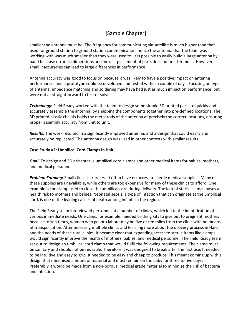smaller the antenna must be. The frequency for communicating via satellite is much higher than that used for ground station to ground station communication, hence the antenna that the team was working with was much smaller than they were used to. It is possible to easily build a large antenna by hand because errors in dimensions and inexact placement of parts does not matter much. However, small inaccuracies can lead to large differences in performance.

Antenna accuracy was good to focus on because it was likely to have a positive impact on antenna performance, and a prototype could be developed and tested within a couple of days. Focusing on type of antenna, impedance matching and soldering may have had just as much impact on performance, but were not as straightforward to test or solve.

*Technology***:** Field Ready worked with the team to design some simple 3D printed parts to quickly and accurately assemble the antenna, by snapping the components together into pre-defined locations. The 3D printed plastic chassis holds the metal rods of the antenna at precisely the correct locations, ensuring proper assembly accuracy from unit to unit.

*Results***:** The work resulted in a significantly improved antenna, and a design that could easily and accurately be replicated. The antenna design was used in other contexts with similar results.

#### **Case Study #2: Umbilical Cord Clamps in Haiti**

*Goal*: To design and 3D print sterile umbilical cord clamps and other medical items for babies, mothers, and medical personnel.

*Problem Framing***:** Small clinics in rural Haiti often have no access to sterile medical supplies. Many of these supplies are unavailable, while others are too expensive for many of these clinics to afford. One example is the clamp used to close the umbilical cord during delivery. The lack of sterile clamps poses a health risk to mothers and babies. Neonatal sepsis, a type of infection that can originate at the umbilical cord, is one of the leading causes of death among infants in the region.

The Field Ready team interviewed personnel at a number of clinics, which led to the identification of various immediate needs. One clinic, for example, needed birthing kits to give out to pregnant mothers because, often times, women who go into labour may be five or ten miles from the clinic with no means of transportation. After assessing multiple clinics and learning more about the delivery process in Haiti and the needs of these rural clinics, it became clear that expanding access to sterile items like clamps would significantly improve the health of mothers, babies, and medical personnel. The Field Ready team set out to design an umbilical cord clamp that would fulfil the following requirements: The clamp must be sanitary and should not be reusable. Therefore it was designed to break after the first use. It needed to be intuitive and easy to grip. It needed to be easy and cheap to produce. This meant coming up with a design that minimised amount of material and must remain on the baby for three to five days. Preferably it would be made from a non-porous, medical grade material to minimise the risk of bacteria and infection.